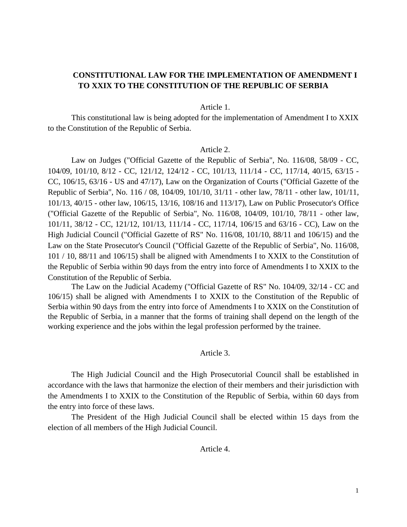# **CONSTITUTIONAL LAW FOR THE IMPLEMENTATION OF AMENDMENT I TO XXIX TO THE CONSTITUTION OF THE REPUBLIC OF SERBIA**

#### Article 1.

This constitutional law is being adopted for the implementation of Amendment I to XXIX to the Constitution of the Republic of Serbia.

#### Article 2.

Law on Judges ("Official Gazette of the Republic of Serbia", No. 116/08, 58/09 - CC, 104/09, 101/10, 8/12 - CC, 121/12, 124/12 - CC, 101/13, 111/14 - CC, 117/14, 40/15, 63/15 - CC, 106/15, 63/16 - US and 47/17), Law on the Organization of Courts ("Official Gazette of the Republic of Serbia", No. 116 / 08, 104/09, 101/10, 31/11 - other law, 78/11 - other law, 101/11, 101/13, 40/15 - other law, 106/15, 13/16, 108/16 and 113/17), Law on Public Prosecutor's Office ("Official Gazette of the Republic of Serbia", No. 116/08, 104/09, 101/10, 78/11 - other law, 101/11, 38/12 - CC, 121/12, 101/13, 111/14 - CC, 117/14, 106/15 and 63/16 - CC), Law on the High Judicial Council ("Official Gazette of RS" No. 116/08, 101/10, 88/11 and 106/15) and the Law on the State Prosecutor's Council ("Official Gazette of the Republic of Serbia", No. 116/08, 101 / 10, 88/11 and 106/15) shall be aligned with Amendments I to XXIX to the Constitution of the Republic of Serbia within 90 days from the entry into force of Amendments I to XXIX to the Constitution of the Republic of Serbia.

The Law on the Judicial Academy ("Official Gazette of RS" No. 104/09, 32/14 - CC and 106/15) shall be aligned with Amendments I to XXIX to the Constitution of the Republic of Serbia within 90 days from the entry into force of Amendments I to XXIX on the Constitution of the Republic of Serbia, in a manner that the forms of training shall depend on the length of the working experience and the jobs within the legal profession performed by the trainee.

#### Article 3.

The High Judicial Council and the High Prosecutorial Council shall be established in accordance with the laws that harmonize the election of their members and their jurisdiction with the Amendments I to XXIX to the Constitution of the Republic of Serbia, within 60 days from the entry into force of these laws.

The President of the High Judicial Council shall be elected within 15 days from the election of all members of the High Judicial Council.

### Article 4.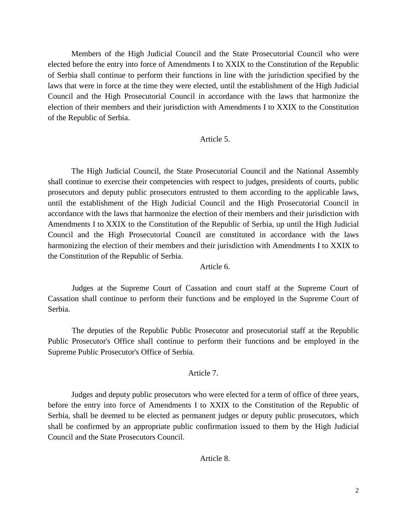Members of the High Judicial Council and the State Prosecutorial Council who were elected before the entry into force of Amendments I to XXIX to the Constitution of the Republic of Serbia shall continue to perform their functions in line with the jurisdiction specified by the laws that were in force at the time they were elected, until the establishment of the High Judicial Council and the High Prosecutorial Council in accordance with the laws that harmonize the election of their members and their jurisdiction with Amendments I to XXIX to the Constitution of the Republic of Serbia.

### Article 5.

The High Judicial Council, the State Prosecutorial Council and the National Assembly shall continue to exercise their competencies with respect to judges, presidents of courts, public prosecutors and deputy public prosecutors entrusted to them according to the applicable laws, until the establishment of the High Judicial Council and the High Prosecutorial Council in accordance with the laws that harmonize the election of their members and their jurisdiction with Amendments I to XXIX to the Constitution of the Republic of Serbia, up until the High Judicial Council and the High Prosecutorial Council are constituted in accordance with the laws harmonizing the election of their members and their jurisdiction with Amendments I to XXIX to the Constitution of the Republic of Serbia.

# Article 6.

Judges at the Supreme Court of Cassation and court staff at the Supreme Court of Cassation shall continue to perform their functions and be employed in the Supreme Court of Serbia.

The deputies of the Republic Public Prosecutor and prosecutorial staff at the Republic Public Prosecutor's Office shall continue to perform their functions and be employed in the Supreme Public Prosecutor's Office of Serbia.

# Article 7.

Judges and deputy public prosecutors who were elected for a term of office of three years, before the entry into force of Amendments I to XXIX to the Constitution of the Republic of Serbia, shall be deemed to be elected as permanent judges or deputy public prosecutors, which shall be confirmed by an appropriate public confirmation issued to them by the High Judicial Council and the State Prosecutors Council.

### Article 8.